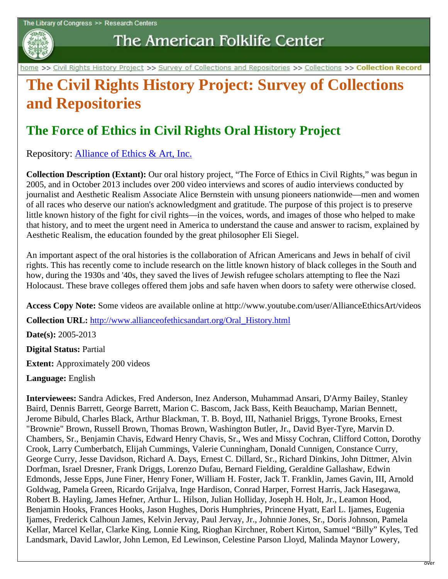

The American Folklife Center

home >> Civil Rights History Project >> Survey of Collections and Repositories >> Collections >> Collection Record

## **The Civil Rights History Project: Survey of Collections and Repositories**

## **The Force of Ethics in Civil Rights Oral History Project**

Repository: [Alliance of Ethics & Art, Inc.](http://www.loc.gov/folklife/civilrights/survey/view_repository.php?rep_id=3100)

**Collection Description (Extant):** Our oral history project, "The Force of Ethics in Civil Rights," was begun in 2005, and in October 2013 includes over 200 video interviews and scores of audio interviews conducted by journalist and Aesthetic Realism Associate Alice Bernstein with unsung pioneers nationwide—men and women of all races who deserve our nation's acknowledgment and gratitude. The purpose of this project is to preserve little known history of the fight for civil rights—in the voices, words, and images of those who helped to make that history, and to meet the urgent need in America to understand the cause and answer to racism, explained by Aesthetic Realism, the education founded by the great philosopher Eli Siegel.

An important aspect of the oral histories is the collaboration of African Americans and Jews in behalf of civil rights. This has recently come to include research on the little known history of black colleges in the South and how, during the 1930s and '40s, they saved the lives of Jewish refugee scholars attempting to flee the Nazi Holocaust. These brave colleges offered them jobs and safe haven when doors to safety were otherwise closed.

**Access Copy Note:** Some videos are available online at http://www.youtube.com/user/AllianceEthicsArt/videos

**Collection URL:** [http://www.allianceofethicsandart.org/Oral\\_History.html](http://www.allianceofethicsandart.org/Oral_History.html)

**Date(s):** 2005-2013

**Digital Status:** Partial

**Extent:** Approximately 200 videos

**Language:** English

**Interviewees:** Sandra Adickes, Fred Anderson, Inez Anderson, Muhammad Ansari, D'Army Bailey, Stanley Baird, Dennis Barrett, George Barrett, Marion C. Bascom, Jack Bass, Keith Beauchamp, Marian Bennett, Jerome Bibuld, Charles Black, Arthur Blackman, T. B. Boyd, III, Nathaniel Briggs, Tyrone Brooks, Ernest "Brownie" Brown, Russell Brown, Thomas Brown, Washington Butler, Jr., David Byer-Tyre, Marvin D. Chambers, Sr., Benjamin Chavis, Edward Henry Chavis, Sr., Wes and Missy Cochran, Clifford Cotton, Dorothy Crook, Larry Cumberbatch, Elijah Cummings, Valerie Cunningham, Donald Cunnigen, Constance Curry, George Curry, Jesse Davidson, Richard A. Days, Ernest C. Dillard, Sr., Richard Dinkins, John Dittmer, Alvin Dorfman, Israel Dresner, Frank Driggs, Lorenzo Dufau, Bernard Fielding, Geraldine Gallashaw, Edwin Edmonds, Jesse Epps, June Finer, Henry Foner, William H. Foster, Jack T. Franklin, James Gavin, III, Arnold Goldwag, Pamela Green, Ricardo Grijalva, Inge Hardison, Conrad Harper, Forrest Harris, Jack Hasegawa, Robert B. Hayling, James Hefner, Arthur L. Hilson, Julian Holliday, Joseph H. Holt, Jr., Leamon Hood, Benjamin Hooks, Frances Hooks, Jason Hughes, Doris Humphries, Princene Hyatt, Earl L. Ijames, Eugenia Ijames, Frederick Calhoun James, Kelvin Jervay, Paul Jervay, Jr., Johnnie Jones, Sr., Doris Johnson, Pamela Kellar, Marcel Kellar, Clarke King, Lonnie King, Rioghan Kirchner, Robert Kirton, Samuel "Billy" Kyles, Ted Landsmark, David Lawlor, John Lemon, Ed Lewinson, Celestine Parson Lloyd, Malinda Maynor Lowery,